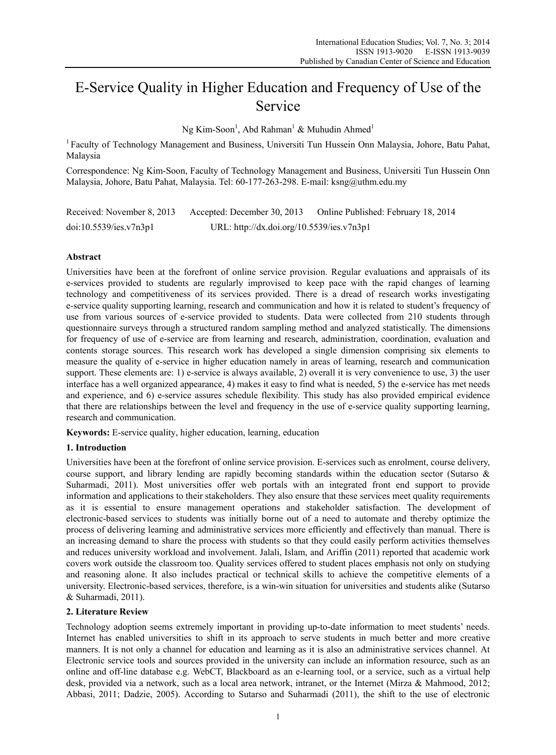# E-Service Quality in Higher Education and Frequency of Use of the Service

Ng Kim-Soon<sup>1</sup>, Abd Rahman<sup>1</sup> & Muhudin Ahmed<sup>1</sup>

<sup>1</sup> Faculty of Technology Management and Business, Universiti Tun Hussein Onn Malaysia, Johore, Batu Pahat, Malaysia

Correspondence: Ng Kim-Soon, Faculty of Technology Management and Business, Universiti Tun Hussein Onn Malaysia, Johore, Batu Pahat, Malaysia. Tel: 60-177-263-298. E-mail: ksng@uthm.edu.my

| Received: November 8, 2013 | Accepted: December 30, 2013               | Online Published: February 18, 2014 |
|----------------------------|-------------------------------------------|-------------------------------------|
| doi:10.5539/ies.v7n3p1     | URL: http://dx.doi.org/10.5539/ies.v7n3p1 |                                     |

# **Abstract**

Universities have been at the forefront of online service provision. Regular evaluations and appraisals of its e-services provided to students are regularly improvised to keep pace with the rapid changes of learning technology and competitiveness of its services provided. There is a dread of research works investigating e-service quality supporting learning, research and communication and how it is related to student's frequency of use from various sources of e-service provided to students. Data were collected from 210 students through questionnaire surveys through a structured random sampling method and analyzed statistically. The dimensions for frequency of use of e-service are from learning and research, administration, coordination, evaluation and contents storage sources. This research work has developed a single dimension comprising six elements to measure the quality of e-service in higher education namely in areas of learning, research and communication support. These elements are: 1) e-service is always available, 2) overall it is very convenience to use, 3) the user interface has a well organized appearance, 4) makes it easy to find what is needed, 5) the e-service has met needs and experience, and 6) e-service assures schedule flexibility. This study has also provided empirical evidence that there are relationships between the level and frequency in the use of e-service quality supporting learning, research and communication.

**Keywords:** E-service quality, higher education, learning, education

## **1. Introduction**

Universities have been at the forefront of online service provision. E-services such as enrolment, course delivery, course support, and library lending are rapidly becoming standards within the education sector (Sutarso & Suharmadi, 2011). Most universities offer web portals with an integrated front end support to provide information and applications to their stakeholders. They also ensure that these services meet quality requirements as it is essential to ensure management operations and stakeholder satisfaction. The development of electronic-based services to students was initially borne out of a need to automate and thereby optimize the process of delivering learning and administrative services more efficiently and effectively than manual. There is an increasing demand to share the process with students so that they could easily perform activities themselves and reduces university workload and involvement. Jalali, Islam, and Ariffin (2011) reported that academic work covers work outside the classroom too. Quality services offered to student places emphasis not only on studying and reasoning alone. It also includes practical or technical skills to achieve the competitive elements of a university. Electronic-based services, therefore, is a win-win situation for universities and students alike (Sutarso & Suharmadi, 2011).

# **2. Literature Review**

Technology adoption seems extremely important in providing up-to-date information to meet students' needs. Internet has enabled universities to shift in its approach to serve students in much better and more creative manners. It is not only a channel for education and learning as it is also an administrative services channel. At Electronic service tools and sources provided in the university can include an information resource, such as an online and off-line database e.g. WebCT, Blackboard as an e-learning tool, or a service, such as a virtual help desk, provided via a network, such as a local area network, intranet, or the Internet (Mirza & Mahmood, 2012; Abbasi, 2011; Dadzie, 2005). According to Sutarso and Suharmadi (2011), the shift to the use of electronic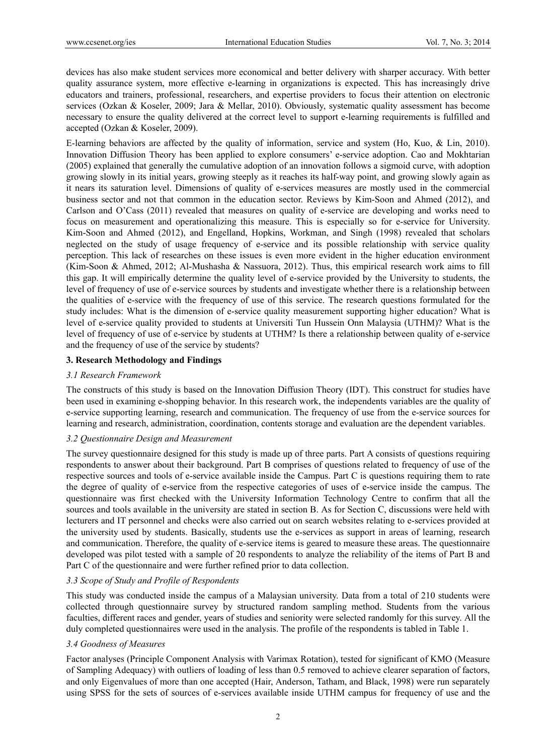devices has also make student services more economical and better delivery with sharper accuracy. With better quality assurance system, more effective e-learning in organizations is expected. This has increasingly drive educators and trainers, professional, researchers, and expertise providers to focus their attention on electronic services (Ozkan & Koseler, 2009; Jara & Mellar, 2010). Obviously, systematic quality assessment has become necessary to ensure the quality delivered at the correct level to support e-learning requirements is fulfilled and accepted (Ozkan & Koseler, 2009).

E-learning behaviors are affected by the quality of information, service and system (Ho, Kuo, & Lin, 2010). Innovation Diffusion Theory has been applied to explore consumers' e-service adoption. Cao and Mokhtarian (2005) explained that generally the cumulative adoption of an innovation follows a sigmoid curve, with adoption growing slowly in its initial years, growing steeply as it reaches its half-way point, and growing slowly again as it nears its saturation level. Dimensions of quality of e-services measures are mostly used in the commercial business sector and not that common in the education sector. Reviews by Kim-Soon and Ahmed (2012), and Carlson and O'Cass (2011) revealed that measures on quality of e-service are developing and works need to focus on measurement and operationalizing this measure. This is especially so for e-service for University. Kim-Soon and Ahmed (2012), and Engelland, Hopkins, Workman, and Singh (1998) revealed that scholars neglected on the study of usage frequency of e-service and its possible relationship with service quality perception. This lack of researches on these issues is even more evident in the higher education environment (Kim-Soon & Ahmed, 2012; Al-Mushasha & Nassuora, 2012). Thus, this empirical research work aims to fill this gap. It will empirically determine the quality level of e-service provided by the University to students, the level of frequency of use of e-service sources by students and investigate whether there is a relationship between the qualities of e-service with the frequency of use of this service. The research questions formulated for the study includes: What is the dimension of e-service quality measurement supporting higher education? What is level of e-service quality provided to students at Universiti Tun Hussein Onn Malaysia (UTHM)? What is the level of frequency of use of e-service by students at UTHM? Is there a relationship between quality of e-service and the frequency of use of the service by students?

# **3. Research Methodology and Findings**

## *3.1 Research Framework*

The constructs of this study is based on the Innovation Diffusion Theory (IDT). This construct for studies have been used in examining e-shopping behavior. In this research work, the independents variables are the quality of e-service supporting learning, research and communication. The frequency of use from the e-service sources for learning and research, administration, coordination, contents storage and evaluation are the dependent variables.

## *3.2 Questionnaire Design and Measurement*

The survey questionnaire designed for this study is made up of three parts. Part A consists of questions requiring respondents to answer about their background. Part B comprises of questions related to frequency of use of the respective sources and tools of e-service available inside the Campus. Part C is questions requiring them to rate the degree of quality of e-service from the respective categories of uses of e-service inside the campus. The questionnaire was first checked with the University Information Technology Centre to confirm that all the sources and tools available in the university are stated in section B. As for Section C, discussions were held with lecturers and IT personnel and checks were also carried out on search websites relating to e-services provided at the university used by students. Basically, students use the e-services as support in areas of learning, research and communication. Therefore, the quality of e-service items is geared to measure these areas. The questionnaire developed was pilot tested with a sample of 20 respondents to analyze the reliability of the items of Part B and Part C of the questionnaire and were further refined prior to data collection.

## *3.3 Scope of Study and Profile of Respondents*

This study was conducted inside the campus of a Malaysian university. Data from a total of 210 students were collected through questionnaire survey by structured random sampling method. Students from the various faculties, different races and gender, years of studies and seniority were selected randomly for this survey. All the duly completed questionnaires were used in the analysis. The profile of the respondents is tabled in Table 1.

## *3.4 Goodness of Measures*

Factor analyses (Principle Component Analysis with Varimax Rotation), tested for significant of KMO (Measure of Sampling Adequacy) with outliers of loading of less than 0.5 removed to achieve clearer separation of factors, and only Eigenvalues of more than one accepted (Hair, Anderson, Tatham, and Black, 1998) were run separately using SPSS for the sets of sources of e-services available inside UTHM campus for frequency of use and the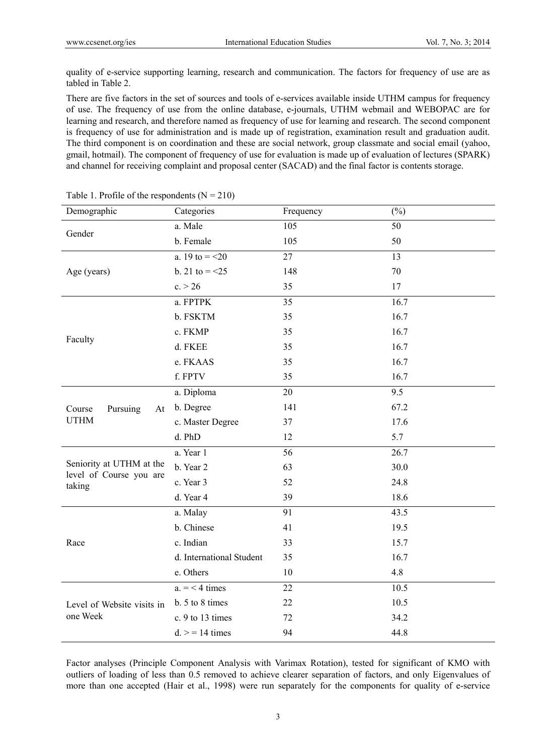quality of e-service supporting learning, research and communication. The factors for frequency of use are as tabled in Table 2.

There are five factors in the set of sources and tools of e-services available inside UTHM campus for frequency of use. The frequency of use from the online database, e-journals, UTHM webmail and WEBOPAC are for learning and research, and therefore named as frequency of use for learning and research. The second component is frequency of use for administration and is made up of registration, examination result and graduation audit. The third component is on coordination and these are social network, group classmate and social email (yahoo, gmail, hotmail). The component of frequency of use for evaluation is made up of evaluation of lectures (SPARK) and channel for receiving complaint and proposal center (SACAD) and the final factor is contents storage.

| Demographic                       | Categories                | Frequency | $(\%)$ |
|-----------------------------------|---------------------------|-----------|--------|
| Gender                            | a. Male                   | 105       | 50     |
|                                   | b. Female                 | 105       | 50     |
|                                   | a. 19 to $=$ <20          | 27        | 13     |
| Age (years)                       | b. 21 to $=$ <25          | 148       | 70     |
|                                   | c. > 26                   | 35        | 17     |
|                                   | a. FPTPK                  | 35        | 16.7   |
|                                   | b. FSKTM                  | 35        | 16.7   |
|                                   | c. FKMP                   | 35        | 16.7   |
| Faculty                           | d. FKEE                   | 35        | 16.7   |
|                                   | e. FKAAS                  | 35        | 16.7   |
|                                   | f. FPTV                   | 35        | 16.7   |
|                                   | a. Diploma                | 20        | 9.5    |
| Pursuing<br>Course<br>At          | b. Degree                 | 141       | 67.2   |
| <b>UTHM</b>                       | c. Master Degree          | 37        | 17.6   |
|                                   | d. PhD                    | 12        | 5.7    |
|                                   | a. Year 1                 | 56        | 26.7   |
| Seniority at UTHM at the          | b. Year 2                 | 63        | 30.0   |
| level of Course you are<br>taking | c. Year 3                 | 52        | 24.8   |
|                                   | d. Year 4                 | 39        | 18.6   |
|                                   | a. Malay                  | 91        | 43.5   |
|                                   | b. Chinese                | 41        | 19.5   |
| Race                              | c. Indian                 | 33        | 15.7   |
|                                   | d. International Student  | 35        | 16.7   |
|                                   | e. Others                 | 10        | 4.8    |
|                                   | $a. = 4$ times            | 22        | 10.5   |
| Level of Website visits in        | b. 5 to 8 times           | 22        | 10.5   |
| one Week                          | c. 9 to 13 times          | 72        | 34.2   |
|                                   | $d. > 14 \times 10^{-14}$ | 94        | 44.8   |

Table 1. Profile of the respondents  $(N = 210)$ 

Factor analyses (Principle Component Analysis with Varimax Rotation), tested for significant of KMO with outliers of loading of less than 0.5 removed to achieve clearer separation of factors, and only Eigenvalues of more than one accepted (Hair et al., 1998) were run separately for the components for quality of e-service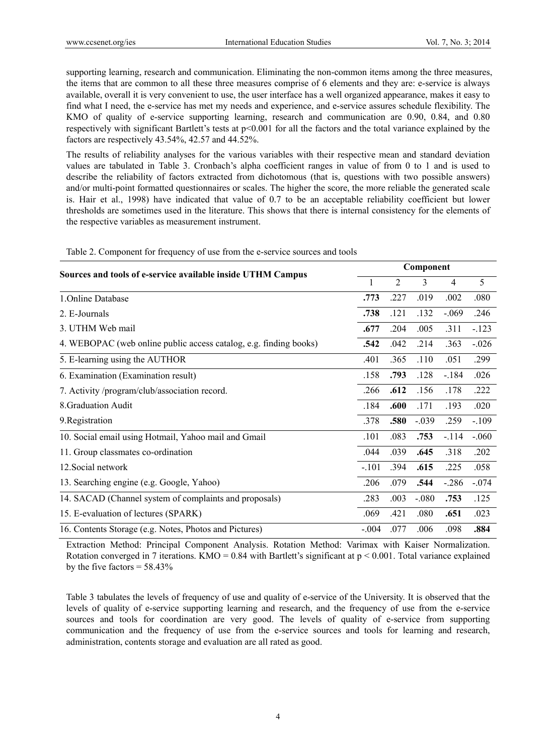supporting learning, research and communication. Eliminating the non-common items among the three measures, the items that are common to all these three measures comprise of 6 elements and they are: e-service is always available, overall it is very convenient to use, the user interface has a well organized appearance, makes it easy to find what I need, the e-service has met my needs and experience, and e-service assures schedule flexibility. The KMO of quality of e-service supporting learning, research and communication are 0.90, 0.84, and 0.80 respectively with significant Bartlett's tests at  $p<0.001$  for all the factors and the total variance explained by the factors are respectively 43.54%, 42.57 and 44.52%.

The results of reliability analyses for the various variables with their respective mean and standard deviation values are tabulated in Table 3. Cronbach's alpha coefficient ranges in value of from 0 to 1 and is used to describe the reliability of factors extracted from dichotomous (that is, questions with two possible answers) and/or multi-point formatted questionnaires or scales. The higher the score, the more reliable the generated scale is. Hair et al., 1998) have indicated that value of 0.7 to be an acceptable reliability coefficient but lower thresholds are sometimes used in the literature. This shows that there is internal consistency for the elements of the respective variables as measurement instrument.

|                                                                   | Component |                |         |                |         |  |
|-------------------------------------------------------------------|-----------|----------------|---------|----------------|---------|--|
| Sources and tools of e-service available inside UTHM Campus       |           | $\overline{2}$ | 3       | $\overline{4}$ | 5       |  |
| 1. Online Database                                                | .773      | .227           | .019    | .002           | .080    |  |
| 2. E-Journals                                                     | .738      | .121           | .132    | $-.069$        | .246    |  |
| 3. UTHM Web mail                                                  | .677      | .204           | .005    | .311           | $-.123$ |  |
| 4. WEBOPAC (web online public access catalog, e.g. finding books) | .542      | .042           | .214    | .363           | $-.026$ |  |
| 5. E-learning using the AUTHOR                                    | .401      | .365           | .110    | .051           | .299    |  |
| 6. Examination (Examination result)                               | .158      | .793           | .128    | $-.184$        | .026    |  |
| 7. Activity /program/club/association record.                     | .266      | .612           | .156    | .178           | .222    |  |
| 8. Graduation Audit                                               | .184      | .600           | .171    | .193           | .020    |  |
| 9. Registration                                                   | .378      | .580           | $-.039$ | .259           | $-.109$ |  |
| 10. Social email using Hotmail, Yahoo mail and Gmail              | .101      | .083           | .753    | $-114$         | $-.060$ |  |
| 11. Group classmates co-ordination                                | .044      | .039           | .645    | .318           | .202    |  |
| 12. Social network                                                | $-.101$   | .394           | .615    | .225           | .058    |  |
| 13. Searching engine (e.g. Google, Yahoo)                         | .206      | .079           | .544    | $-.286$        | $-.074$ |  |
| 14. SACAD (Channel system of complaints and proposals)            | .283      | .003           | $-.080$ | .753           | .125    |  |
| 15. E-evaluation of lectures (SPARK)                              | .069      | .421           | .080    | .651           | .023    |  |
| 16. Contents Storage (e.g. Notes, Photos and Pictures)            | $-.004$   | .077           | .006    | .098           | .884    |  |

Table 2. Component for frequency of use from the e-service sources and tools

Extraction Method: Principal Component Analysis. Rotation Method: Varimax with Kaiser Normalization. Rotation converged in 7 iterations. KMO =  $0.84$  with Bartlett's significant at  $p \le 0.001$ . Total variance explained by the five factors  $= 58.43\%$ 

Table 3 tabulates the levels of frequency of use and quality of e-service of the University. It is observed that the levels of quality of e-service supporting learning and research, and the frequency of use from the e-service sources and tools for coordination are very good. The levels of quality of e-service from supporting communication and the frequency of use from the e-service sources and tools for learning and research, administration, contents storage and evaluation are all rated as good.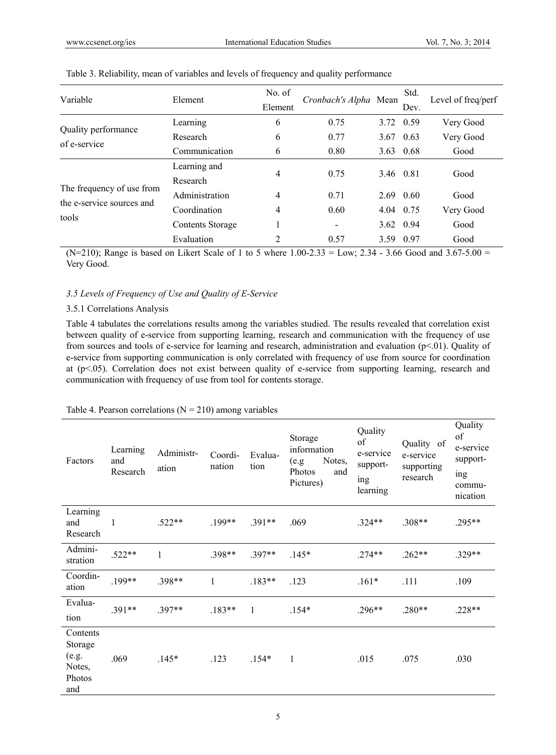| Variable                                               | Element                 | No. of<br>Element | Cronbach's Alpha Mean        |           | Std.<br>Dev. | Level of freq/perf |  |
|--------------------------------------------------------|-------------------------|-------------------|------------------------------|-----------|--------------|--------------------|--|
|                                                        | Learning                | 6                 | 0.75                         | 3.72 0.59 |              | Very Good          |  |
| Quality performance                                    | Research                | 6                 | 0.77                         | 3.67      | 0.63         | Very Good          |  |
| of e-service                                           | Communication           | 6                 | 0.80                         | 3.63      | 0.68         | Good               |  |
|                                                        | Learning and            | 4                 | 0.75                         |           | 3.46 0.81    | Good               |  |
|                                                        | Research                |                   |                              |           |              |                    |  |
| The frequency of use from<br>the e-service sources and | Administration          | 4                 | 0.71                         | 2.69      | 0.60         | Good               |  |
| tools                                                  | Coordination            | 4                 | 0.60                         | 4.04 0.75 |              | Very Good          |  |
|                                                        | <b>Contents Storage</b> |                   | $\qquad \qquad \blacksquare$ | 3.62 0.94 |              | Good               |  |
|                                                        | Evaluation              | 2                 | 0.57                         | 3.59      | 0.97         | Good               |  |

## Table 3. Reliability, mean of variables and levels of frequency and quality performance

(N=210); Range is based on Likert Scale of 1 to 5 where  $1.00-2.33 =$  Low;  $2.34 - 3.66$  Good and  $3.67-5.00 =$ Very Good.

## *3.5 Levels of Frequency of Use and Quality of E-Service*

#### 3.5.1 Correlations Analysis

Table 4 tabulates the correlations results among the variables studied. The results revealed that correlation exist between quality of e-service from supporting learning, research and communication with the frequency of use from sources and tools of e-service for learning and research, administration and evaluation (p<.01). Quality of e-service from supporting communication is only correlated with frequency of use from source for coordination at (p<.05). Correlation does not exist between quality of e-service from supporting learning, research and communication with frequency of use from tool for contents storage.

## Table 4. Pearson correlations ( $N = 210$ ) among variables

| Factors                                                 | Learning<br>and<br>Research | Administr-<br>ation | Coordi-<br>nation | Evalua-<br>tion | Storage<br>information<br>Notes,<br>(e.g.<br>Photos<br>and<br>Pictures) | Quality<br>of<br>e-service<br>support-<br>ing<br>learning | Quality of<br>e-service<br>supporting<br>research | Quality<br>of<br>e-service<br>support-<br>ing<br>commu-<br>nication |
|---------------------------------------------------------|-----------------------------|---------------------|-------------------|-----------------|-------------------------------------------------------------------------|-----------------------------------------------------------|---------------------------------------------------|---------------------------------------------------------------------|
| Learning<br>and<br>Research                             | $\mathbf{1}$                | $.522**$            | $.199**$          | $.391**$        | .069                                                                    | $.324**$                                                  | $.308**$                                          | $.295**$                                                            |
| Admini-<br>stration                                     | $.522**$                    | 1                   | $.398**$          | $.397**$        | $.145*$                                                                 | $.274**$                                                  | $.262**$                                          | .329**                                                              |
| Coordin-<br>ation                                       | .199**                      | .398**              | 1                 | $.183**$        | .123                                                                    | $.161*$                                                   | .111                                              | .109                                                                |
| Evalua-<br>tion                                         | .391**                      | $.397**$            | $.183**$          | 1               | $.154*$                                                                 | $.296**$                                                  | $.280**$                                          | .228**                                                              |
| Contents<br>Storage<br>(e.g.<br>Notes,<br>Photos<br>and | .069                        | $.145*$             | .123              | $.154*$         | 1                                                                       | .015                                                      | .075                                              | .030                                                                |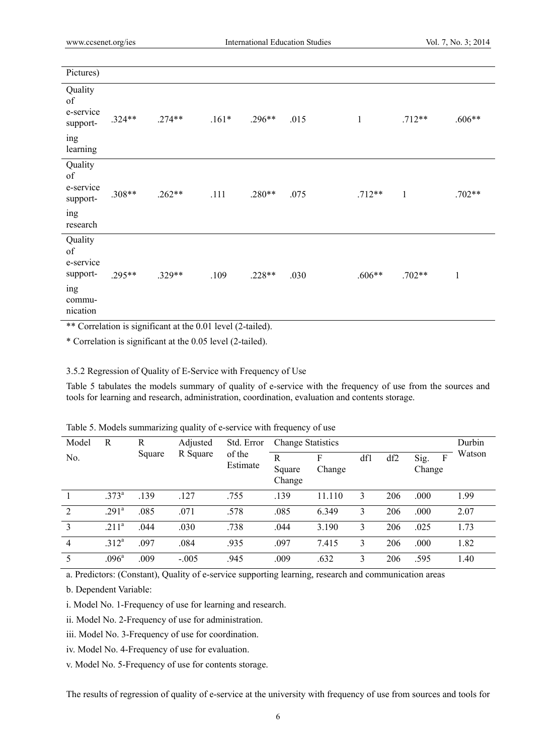| Pictures)                              |          |          |         |        |      |              |              |              |
|----------------------------------------|----------|----------|---------|--------|------|--------------|--------------|--------------|
| Quality<br>of<br>e-service<br>support- | $.324**$ | $.274**$ | $.161*$ | .296** | .015 | $\mathbf{1}$ | $.712**$     | $.606**$     |
| ing<br>learning                        |          |          |         |        |      |              |              |              |
| Quality<br>of<br>e-service<br>support- | $.308**$ | $.262**$ | .111    | .280** | .075 | $.712**$     | $\mathbf{1}$ | $.702**$     |
| ing<br>research                        |          |          |         |        |      |              |              |              |
| Quality<br>of<br>e-service<br>support- | .295**   | $.329**$ | .109    | .228** | .030 | $.606**$     | $.702**$     | $\mathbf{1}$ |
| ing<br>commu-<br>nication              |          |          |         |        |      |              |              |              |

\*\* Correlation is significant at the 0.01 level (2-tailed).

\* Correlation is significant at the 0.05 level (2-tailed).

# 3.5.2 Regression of Quality of E-Service with Frequency of Use

Table 5 tabulates the models summary of quality of e-service with the frequency of use from the sources and tools for learning and research, administration, coordination, evaluation and contents storage.

| Model          | R                 | R      | Adjusted | Std. Error<br>of the<br>Estimate | <b>Change Statistics</b> | Durbin      |     |     |                     |        |
|----------------|-------------------|--------|----------|----------------------------------|--------------------------|-------------|-----|-----|---------------------|--------|
| N <sub>0</sub> |                   | Square | R Square |                                  | R<br>Square<br>Change    | F<br>Change | df1 | df2 | Sig.<br>F<br>Change | Watson |
|                | $373^{\rm a}$     | .139   | .127     | .755                             | .139                     | 11.110      | 3   | 206 | .000                | 1.99   |
| 2              | .291 <sup>a</sup> | .085   | .071     | .578                             | .085                     | 6.349       | 3   | 206 | .000                | 2.07   |
| 3              | .211 <sup>a</sup> | .044   | .030     | .738                             | .044                     | 3.190       | 3   | 206 | .025                | 1.73   |
| $\overline{4}$ | .312 <sup>a</sup> | .097   | .084     | .935                             | .097                     | 7.415       | 3   | 206 | .000                | 1.82   |
| 5              | $.096^{\rm a}$    | .009   | $-.005$  | .945                             | .009                     | .632        | 3   | 206 | .595                | 1.40   |

Table 5. Models summarizing quality of e-service with frequency of use

a. Predictors: (Constant), Quality of e-service supporting learning, research and communication areas

b. Dependent Variable:

i. Model No. 1-Frequency of use for learning and research.

ii. Model No. 2-Frequency of use for administration.

iii. Model No. 3-Frequency of use for coordination.

iv. Model No. 4-Frequency of use for evaluation.

v. Model No. 5-Frequency of use for contents storage.

The results of regression of quality of e-service at the university with frequency of use from sources and tools for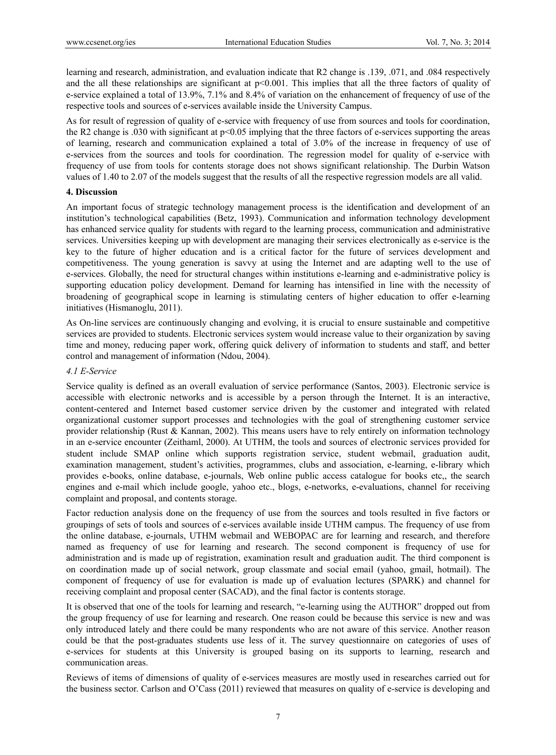learning and research, administration, and evaluation indicate that R2 change is .139, .071, and .084 respectively and the all these relationships are significant at  $p<0.001$ . This implies that all the three factors of quality of e-service explained a total of 13.9%, 7.1% and 8.4% of variation on the enhancement of frequency of use of the respective tools and sources of e-services available inside the University Campus.

As for result of regression of quality of e-service with frequency of use from sources and tools for coordination, the R2 change is .030 with significant at p<0.05 implying that the three factors of e-services supporting the areas of learning, research and communication explained a total of 3.0% of the increase in frequency of use of e-services from the sources and tools for coordination. The regression model for quality of e-service with frequency of use from tools for contents storage does not shows significant relationship. The Durbin Watson values of 1.40 to 2.07 of the models suggest that the results of all the respective regression models are all valid.

#### **4. Discussion**

An important focus of strategic technology management process is the identification and development of an institution's technological capabilities (Betz, 1993). Communication and information technology development has enhanced service quality for students with regard to the learning process, communication and administrative services. Universities keeping up with development are managing their services electronically as e-service is the key to the future of higher education and is a critical factor for the future of services development and competitiveness. The young generation is savvy at using the Internet and are adapting well to the use of e-services. Globally, the need for structural changes within institutions e-learning and e-administrative policy is supporting education policy development. Demand for learning has intensified in line with the necessity of broadening of geographical scope in learning is stimulating centers of higher education to offer e-learning initiatives (Hismanoglu, 2011).

As On-line services are continuously changing and evolving, it is crucial to ensure sustainable and competitive services are provided to students. Electronic services system would increase value to their organization by saving time and money, reducing paper work, offering quick delivery of information to students and staff, and better control and management of information (Ndou, 2004).

## *4.1 E-Service*

Service quality is defined as an overall evaluation of service performance (Santos, 2003). Electronic service is accessible with electronic networks and is accessible by a person through the Internet. It is an interactive, content-centered and Internet based customer service driven by the customer and integrated with related organizational customer support processes and technologies with the goal of strengthening customer service provider relationship (Rust & Kannan, 2002). This means users have to rely entirely on information technology in an e-service encounter (Zeithaml, 2000). At UTHM, the tools and sources of electronic services provided for student include SMAP online which supports registration service, student webmail, graduation audit, examination management, student's activities, programmes, clubs and association, e-learning, e-library which provides e-books, online database, e-journals, Web online public access catalogue for books etc,, the search engines and e-mail which include google, yahoo etc., blogs, e-networks, e-evaluations, channel for receiving complaint and proposal, and contents storage.

Factor reduction analysis done on the frequency of use from the sources and tools resulted in five factors or groupings of sets of tools and sources of e-services available inside UTHM campus. The frequency of use from the online database, e-journals, UTHM webmail and WEBOPAC are for learning and research, and therefore named as frequency of use for learning and research. The second component is frequency of use for administration and is made up of registration, examination result and graduation audit. The third component is on coordination made up of social network, group classmate and social email (yahoo, gmail, hotmail). The component of frequency of use for evaluation is made up of evaluation lectures (SPARK) and channel for receiving complaint and proposal center (SACAD), and the final factor is contents storage.

It is observed that one of the tools for learning and research, "e-learning using the AUTHOR" dropped out from the group frequency of use for learning and research. One reason could be because this service is new and was only introduced lately and there could be many respondents who are not aware of this service. Another reason could be that the post-graduates students use less of it. The survey questionnaire on categories of uses of e-services for students at this University is grouped basing on its supports to learning, research and communication areas.

Reviews of items of dimensions of quality of e-services measures are mostly used in researches carried out for the business sector. Carlson and O'Cass (2011) reviewed that measures on quality of e-service is developing and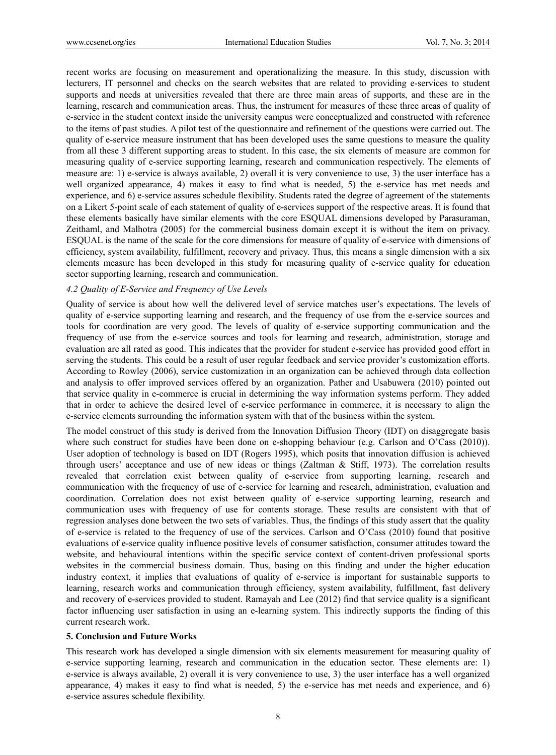recent works are focusing on measurement and operationalizing the measure. In this study, discussion with lecturers, IT personnel and checks on the search websites that are related to providing e-services to student supports and needs at universities revealed that there are three main areas of supports, and these are in the learning, research and communication areas. Thus, the instrument for measures of these three areas of quality of e-service in the student context inside the university campus were conceptualized and constructed with reference to the items of past studies. A pilot test of the questionnaire and refinement of the questions were carried out. The quality of e-service measure instrument that has been developed uses the same questions to measure the quality from all these 3 different supporting areas to student. In this case, the six elements of measure are common for measuring quality of e-service supporting learning, research and communication respectively. The elements of measure are: 1) e-service is always available, 2) overall it is very convenience to use, 3) the user interface has a well organized appearance, 4) makes it easy to find what is needed, 5) the e-service has met needs and experience, and 6) e-service assures schedule flexibility. Students rated the degree of agreement of the statements on a Likert 5-point scale of each statement of quality of e-services support of the respective areas. It is found that these elements basically have similar elements with the core ESQUAL dimensions developed by Parasuraman, Zeithaml, and Malhotra (2005) for the commercial business domain except it is without the item on privacy. ESQUAL is the name of the scale for the core dimensions for measure of quality of e-service with dimensions of efficiency, system availability, fulfillment, recovery and privacy. Thus, this means a single dimension with a six elements measure has been developed in this study for measuring quality of e-service quality for education sector supporting learning, research and communication.

#### *4.2 Quality of E-Service and Frequency of Use Levels*

Quality of service is about how well the delivered level of service matches user's expectations. The levels of quality of e-service supporting learning and research, and the frequency of use from the e-service sources and tools for coordination are very good. The levels of quality of e-service supporting communication and the frequency of use from the e-service sources and tools for learning and research, administration, storage and evaluation are all rated as good. This indicates that the provider for student e-service has provided good effort in serving the students. This could be a result of user regular feedback and service provider's customization efforts. According to Rowley (2006), service customization in an organization can be achieved through data collection and analysis to offer improved services offered by an organization. Pather and Usabuwera (2010) pointed out that service quality in e-commerce is crucial in determining the way information systems perform. They added that in order to achieve the desired level of e-service performance in commerce, it is necessary to align the e-service elements surrounding the information system with that of the business within the system.

The model construct of this study is derived from the Innovation Diffusion Theory (IDT) on disaggregate basis where such construct for studies have been done on e-shopping behaviour (e.g. Carlson and O'Cass (2010)). User adoption of technology is based on IDT (Rogers 1995), which posits that innovation diffusion is achieved through users' acceptance and use of new ideas or things (Zaltman & Stiff, 1973). The correlation results revealed that correlation exist between quality of e-service from supporting learning, research and communication with the frequency of use of e-service for learning and research, administration, evaluation and coordination. Correlation does not exist between quality of e-service supporting learning, research and communication uses with frequency of use for contents storage. These results are consistent with that of regression analyses done between the two sets of variables. Thus, the findings of this study assert that the quality of e-service is related to the frequency of use of the services. Carlson and O'Cass (2010) found that positive evaluations of e-service quality influence positive levels of consumer satisfaction, consumer attitudes toward the website, and behavioural intentions within the specific service context of content-driven professional sports websites in the commercial business domain. Thus, basing on this finding and under the higher education industry context, it implies that evaluations of quality of e-service is important for sustainable supports to learning, research works and communication through efficiency, system availability, fulfillment, fast delivery and recovery of e-services provided to student. Ramayah and Lee (2012) find that service quality is a significant factor influencing user satisfaction in using an e-learning system. This indirectly supports the finding of this current research work.

#### **5. Conclusion and Future Works**

This research work has developed a single dimension with six elements measurement for measuring quality of e-service supporting learning, research and communication in the education sector. These elements are: 1) e-service is always available, 2) overall it is very convenience to use, 3) the user interface has a well organized appearance, 4) makes it easy to find what is needed, 5) the e-service has met needs and experience, and 6) e-service assures schedule flexibility.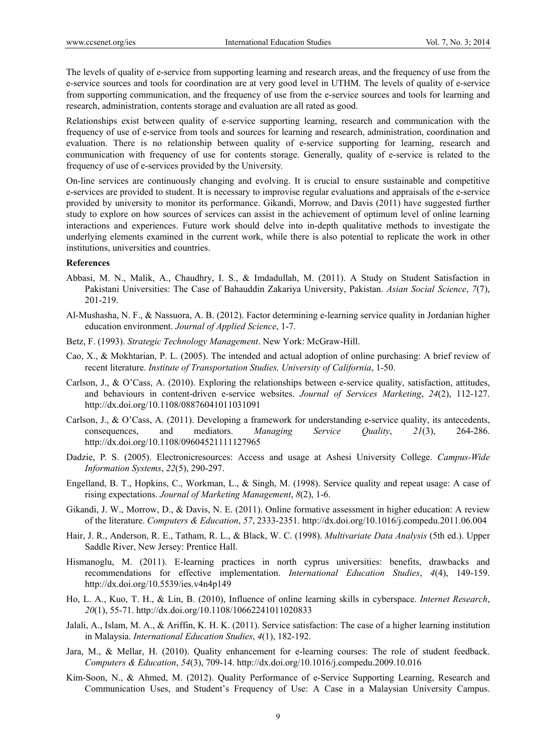The levels of quality of e-service from supporting learning and research areas, and the frequency of use from the e-service sources and tools for coordination are at very good level in UTHM. The levels of quality of e-service from supporting communication, and the frequency of use from the e-service sources and tools for learning and research, administration, contents storage and evaluation are all rated as good.

Relationships exist between quality of e-service supporting learning, research and communication with the frequency of use of e-service from tools and sources for learning and research, administration, coordination and evaluation. There is no relationship between quality of e-service supporting for learning, research and communication with frequency of use for contents storage. Generally, quality of e-service is related to the frequency of use of e-services provided by the University.

On-line services are continuously changing and evolving. It is crucial to ensure sustainable and competitive e-services are provided to student. It is necessary to improvise regular evaluations and appraisals of the e-service provided by university to monitor its performance. Gikandi, Morrow, and Davis (2011) have suggested further study to explore on how sources of services can assist in the achievement of optimum level of online learning interactions and experiences. Future work should delve into in-depth qualitative methods to investigate the underlying elements examined in the current work, while there is also potential to replicate the work in other institutions, universities and countries.

#### **References**

- Abbasi, M. N., Malik, A., Chaudhry, I. S., & Imdadullah, M. (2011). A Study on Student Satisfaction in Pakistani Universities: The Case of Bahauddin Zakariya University, Pakistan. *Asian Social Science*, *7*(7), 201-219.
- Al-Mushasha, N. F., & Nassuora, A. B. (2012). Factor determining e-learning service quality in Jordanian higher education environment. *Journal of Applied Science*, 1-7.
- Betz, F. (1993). *Strategic Technology Management*. New York: McGraw-Hill.
- Cao, X., & Mokhtarian, P. L. (2005). The intended and actual adoption of online purchasing: A brief review of recent literature. *Institute of Transportation Studies, University of California*, 1-50.
- Carlson, J., & O'Cass, A. (2010). Exploring the relationships between e-service quality, satisfaction, attitudes, and behaviours in content-driven e-service websites. *Journal of Services Marketing*, *24*(2), 112-127. http://dx.doi.org/10.1108/08876041011031091
- Carlson, J., & O'Cass, A. (2011). Developing a framework for understanding e-service quality, its antecedents, consequences, and mediators. *Managing Service Quality*, *21*(3), 264-286. http://dx.doi.org/10.1108/09604521111127965
- Dadzie, P. S. (2005). Electronicresources: Access and usage at Ashesi University College. *Campus-Wide Information Systems*, *22*(5), 290-297.
- Engelland, B. T., Hopkins, C., Workman, L., & Singh, M. (1998). Service quality and repeat usage: A case of rising expectations. *Journal of Marketing Management*, *8*(2), 1-6.
- Gikandi, J. W., Morrow, D., & Davis, N. E. (2011). Online formative assessment in higher education: A review of the literature. *Computers & Education*, *57*, 2333-2351. http://dx.doi.org/10.1016/j.compedu.2011.06.004
- Hair, J. R., Anderson, R. E., Tatham, R. L., & Black, W. C. (1998). *Multivariate Data Analysis* (5th ed.). Upper Saddle River, New Jersey: Prentice Hall.
- Hismanoglu, M. (2011). E-learning practices in north cyprus universities: benefits, drawbacks and recommendations for effective implementation. *International Education Studies*, *4*(4), 149-159. http://dx.doi.org/10.5539/ies.v4n4p149
- Ho, L. A., Kuo, T. H., & Lin, B. (2010), Influence of online learning skills in cyberspace. *Internet Research*, *20*(1), 55-71. http://dx.doi.org/10.1108/10662241011020833
- Jalali, A., Islam, M. A., & Ariffin, K. H. K. (2011). Service satisfaction: The case of a higher learning institution in Malaysia. *International Education Studies*, *4*(1), 182-192.
- Jara, M., & Mellar, H. (2010). Quality enhancement for e-learning courses: The role of student feedback. *Computers & Education*, *54*(3), 709-14. http://dx.doi.org/10.1016/j.compedu.2009.10.016
- Kim-Soon, N., & Ahmed, M. (2012). Quality Performance of e-Service Supporting Learning, Research and Communication Uses, and Student's Frequency of Use: A Case in a Malaysian University Campus.